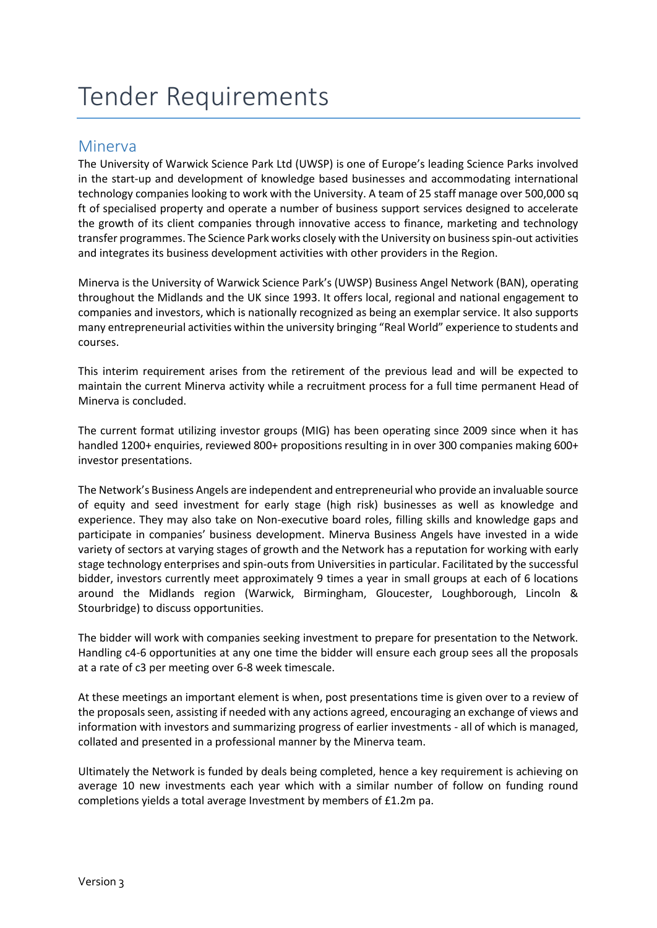# Tender Requirements

# Minerva

The University of Warwick Science Park Ltd (UWSP) is one of Europe's leading Science Parks involved in the start-up and development of knowledge based businesses and accommodating international technology companies looking to work with the University. A team of 25 staff manage over 500,000 sq ft of specialised property and operate a number of business support services designed to accelerate the growth of its client companies through innovative access to finance, marketing and technology transfer programmes. The Science Park works closely with the University on business spin-out activities and integrates its business development activities with other providers in the Region.

Minerva is the University of Warwick Science Park's (UWSP) Business Angel Network (BAN), operating throughout the Midlands and the UK since 1993. It offers local, regional and national engagement to companies and investors, which is nationally recognized as being an exemplar service. It also supports many entrepreneurial activities within the university bringing "Real World" experience to students and courses.

This interim requirement arises from the retirement of the previous lead and will be expected to maintain the current Minerva activity while a recruitment process for a full time permanent Head of Minerva is concluded.

The current format utilizing investor groups (MIG) has been operating since 2009 since when it has handled 1200+ enquiries, reviewed 800+ propositions resulting in in over 300 companies making 600+ investor presentations.

The Network's Business Angels are independent and entrepreneurial who provide an invaluable source of equity and seed investment for early stage (high risk) businesses as well as knowledge and experience. They may also take on Non-executive board roles, filling skills and knowledge gaps and participate in companies' business development. Minerva Business Angels have invested in a wide variety of sectors at varying stages of growth and the Network has a reputation for working with early stage technology enterprises and spin-outs from Universities in particular. Facilitated by the successful bidder, investors currently meet approximately 9 times a year in small groups at each of 6 locations around the Midlands region (Warwick, Birmingham, Gloucester, Loughborough, Lincoln & Stourbridge) to discuss opportunities.

The bidder will work with companies seeking investment to prepare for presentation to the Network. Handling c4-6 opportunities at any one time the bidder will ensure each group sees all the proposals at a rate of c3 per meeting over 6-8 week timescale.

At these meetings an important element is when, post presentations time is given over to a review of the proposals seen, assisting if needed with any actions agreed, encouraging an exchange of views and information with investors and summarizing progress of earlier investments - all of which is managed, collated and presented in a professional manner by the Minerva team.

Ultimately the Network is funded by deals being completed, hence a key requirement is achieving on average 10 new investments each year which with a similar number of follow on funding round completions yields a total average Investment by members of £1.2m pa.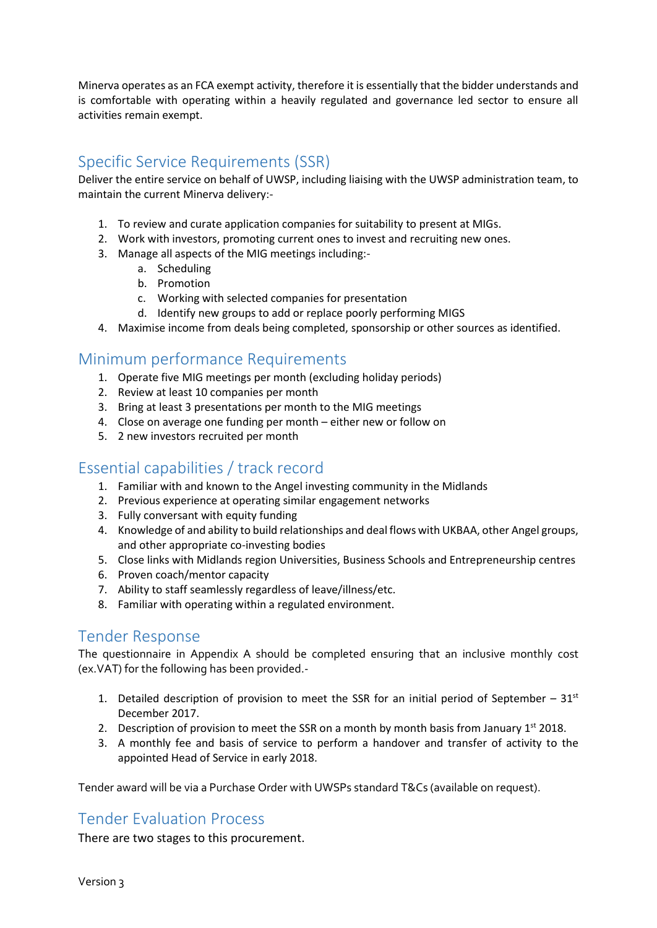Minerva operates as an FCA exempt activity, therefore it is essentially that the bidder understands and is comfortable with operating within a heavily regulated and governance led sector to ensure all activities remain exempt.

# Specific Service Requirements (SSR)

Deliver the entire service on behalf of UWSP, including liaising with the UWSP administration team, to maintain the current Minerva delivery:-

- 1. To review and curate application companies for suitability to present at MIGs.
- 2. Work with investors, promoting current ones to invest and recruiting new ones.
- 3. Manage all aspects of the MIG meetings including:
	- a. Scheduling
	- b. Promotion
	- c. Working with selected companies for presentation
	- d. Identify new groups to add or replace poorly performing MIGS
- 4. Maximise income from deals being completed, sponsorship or other sources as identified.

# Minimum performance Requirements

- 1. Operate five MIG meetings per month (excluding holiday periods)
- 2. Review at least 10 companies per month
- 3. Bring at least 3 presentations per month to the MIG meetings
- 4. Close on average one funding per month either new or follow on
- 5. 2 new investors recruited per month

# Essential capabilities / track record

- 1. Familiar with and known to the Angel investing community in the Midlands
- 2. Previous experience at operating similar engagement networks
- 3. Fully conversant with equity funding
- 4. Knowledge of and ability to build relationships and deal flows with UKBAA, other Angel groups, and other appropriate co-investing bodies
- 5. Close links with Midlands region Universities, Business Schools and Entrepreneurship centres
- 6. Proven coach/mentor capacity
- 7. Ability to staff seamlessly regardless of leave/illness/etc.
- 8. Familiar with operating within a regulated environment.

#### Tender Response

The questionnaire in Appendix A should be completed ensuring that an inclusive monthly cost (ex.VAT) for the following has been provided.-

- 1. Detailed description of provision to meet the SSR for an initial period of September  $31<sup>st</sup>$ December 2017.
- 2. Description of provision to meet the SSR on a month by month basis from January  $1^{st}$  2018.
- 3. A monthly fee and basis of service to perform a handover and transfer of activity to the appointed Head of Service in early 2018.

Tender award will be via a Purchase Order with UWSPs standard T&Cs (available on request).

## Tender Evaluation Process

There are two stages to this procurement.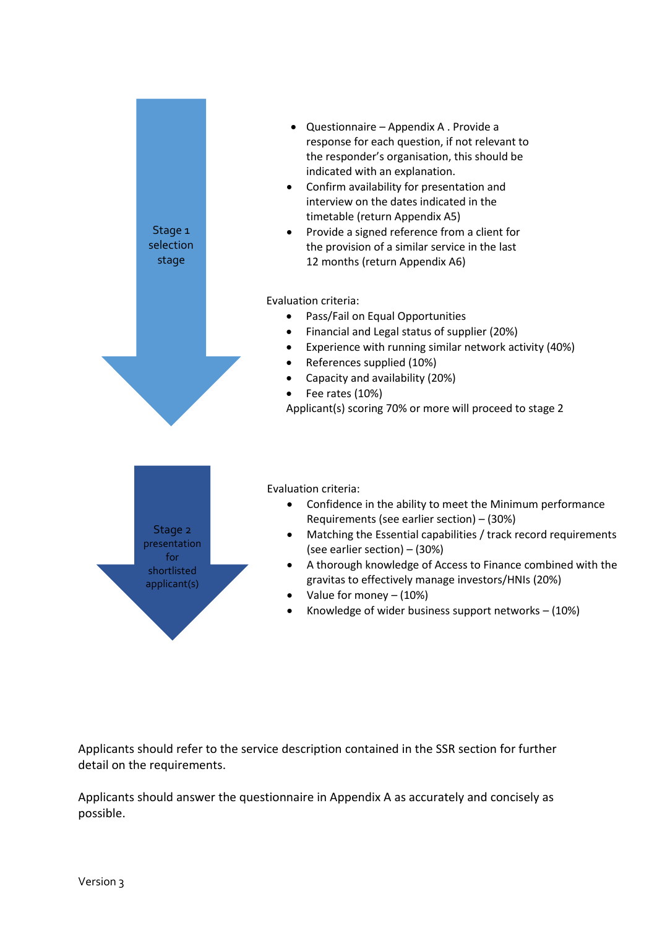

Applicants should refer to the service description contained in the SSR section for further detail on the requirements.

Applicants should answer the questionnaire in Appendix A as accurately and concisely as possible.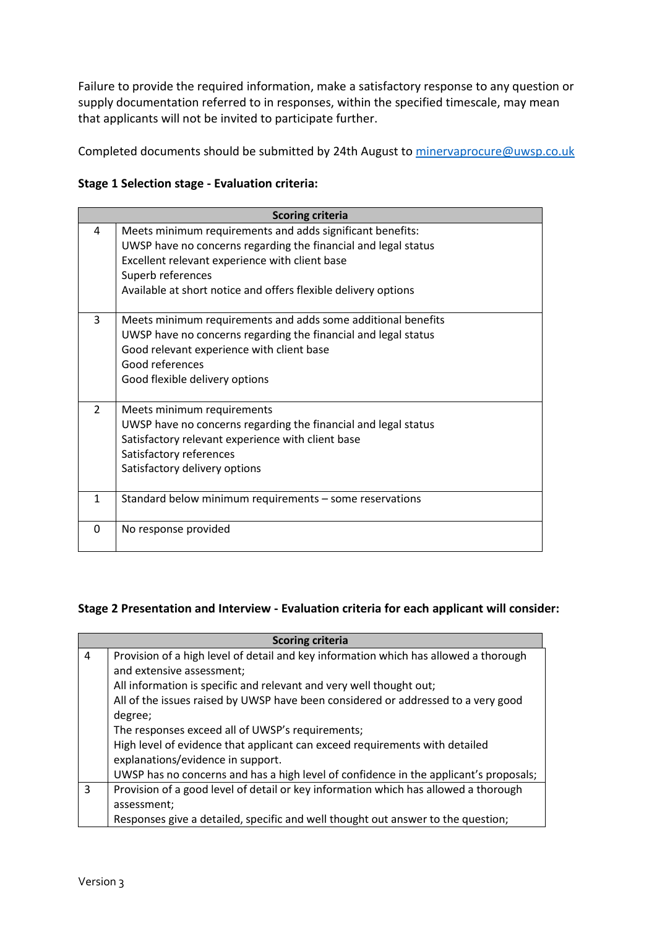Failure to provide the required information, make a satisfactory response to any question or supply documentation referred to in responses, within the specified timescale, may mean that applicants will not be invited to participate further.

Completed documents should be submitted by 24th August to [minervaprocure@uwsp.co.uk](mailto:minervaprocure@uwsp.co.uk)

#### **Stage 1 Selection stage - Evaluation criteria:**

| <b>Scoring criteria</b> |                                                                                                                                                                                                                                                                      |  |
|-------------------------|----------------------------------------------------------------------------------------------------------------------------------------------------------------------------------------------------------------------------------------------------------------------|--|
| 4                       | Meets minimum requirements and adds significant benefits:<br>UWSP have no concerns regarding the financial and legal status<br>Excellent relevant experience with client base<br>Superb references<br>Available at short notice and offers flexible delivery options |  |
| 3                       | Meets minimum requirements and adds some additional benefits<br>UWSP have no concerns regarding the financial and legal status<br>Good relevant experience with client base<br>Good references<br>Good flexible delivery options                                     |  |
| $\overline{2}$          | Meets minimum requirements<br>UWSP have no concerns regarding the financial and legal status<br>Satisfactory relevant experience with client base<br>Satisfactory references<br>Satisfactory delivery options                                                        |  |
| $\mathbf{1}$            | Standard below minimum requirements - some reservations                                                                                                                                                                                                              |  |
| 0                       | No response provided                                                                                                                                                                                                                                                 |  |

# **Stage 2 Presentation and Interview - Evaluation criteria for each applicant will consider:**

| <b>Scoring criteria</b> |                                                                                       |  |
|-------------------------|---------------------------------------------------------------------------------------|--|
| 4                       | Provision of a high level of detail and key information which has allowed a thorough  |  |
|                         | and extensive assessment;                                                             |  |
|                         | All information is specific and relevant and very well thought out;                   |  |
|                         | All of the issues raised by UWSP have been considered or addressed to a very good     |  |
|                         | degree;                                                                               |  |
|                         | The responses exceed all of UWSP's requirements;                                      |  |
|                         | High level of evidence that applicant can exceed requirements with detailed           |  |
|                         | explanations/evidence in support.                                                     |  |
|                         | UWSP has no concerns and has a high level of confidence in the applicant's proposals; |  |
| 3                       | Provision of a good level of detail or key information which has allowed a thorough   |  |
|                         | assessment;                                                                           |  |
|                         | Responses give a detailed, specific and well thought out answer to the question;      |  |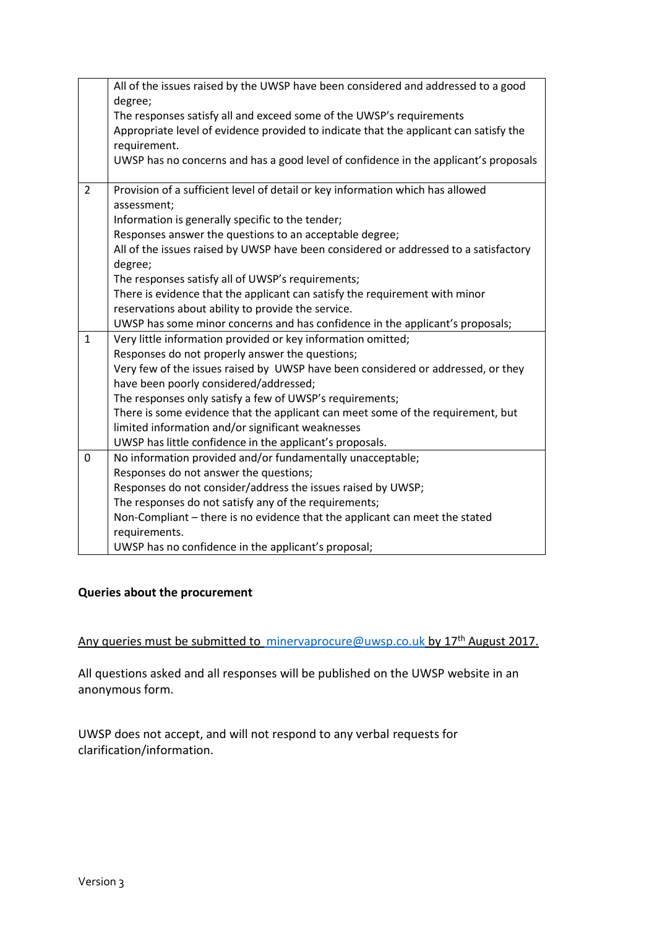|                | All of the issues raised by the UWSP have been considered and addressed to a good     |
|----------------|---------------------------------------------------------------------------------------|
|                | degree;                                                                               |
|                | The responses satisfy all and exceed some of the UWSP's requirements                  |
|                | Appropriate level of evidence provided to indicate that the applicant can satisfy the |
|                | requirement.                                                                          |
|                | UWSP has no concerns and has a good level of confidence in the applicant's proposals  |
| $\overline{2}$ | Provision of a sufficient level of detail or key information which has allowed        |
|                | assessment;                                                                           |
|                | Information is generally specific to the tender;                                      |
|                | Responses answer the questions to an acceptable degree;                               |
|                | All of the issues raised by UWSP have been considered or addressed to a satisfactory  |
|                | degree;                                                                               |
|                | The responses satisfy all of UWSP's requirements;                                     |
|                | There is evidence that the applicant can satisfy the requirement with minor           |
|                | reservations about ability to provide the service.                                    |
|                | UWSP has some minor concerns and has confidence in the applicant's proposals;         |
| $\mathbf{1}$   | Very little information provided or key information omitted;                          |
|                | Responses do not properly answer the questions;                                       |
|                | Very few of the issues raised by UWSP have been considered or addressed, or they      |
|                | have been poorly considered/addressed;                                                |
|                | The responses only satisfy a few of UWSP's requirements;                              |
|                | There is some evidence that the applicant can meet some of the requirement, but       |
|                | limited information and/or significant weaknesses                                     |
|                | UWSP has little confidence in the applicant's proposals.                              |
| 0              | No information provided and/or fundamentally unacceptable;                            |
|                | Responses do not answer the questions;                                                |
|                | Responses do not consider/address the issues raised by UWSP;                          |
|                | The responses do not satisfy any of the requirements;                                 |
|                | Non-Compliant - there is no evidence that the applicant can meet the stated           |
|                | requirements.                                                                         |
|                | UWSP has no confidence in the applicant's proposal;                                   |

#### **Queries about the procurement**

Any queries must be submitted to [minervaprocure@uwsp.co.uk](mailto:%20minervaprocure@uwsp.co.uk) by 17<sup>th</sup> August 2017.

All questions asked and all responses will be published on the UWSP website in an anonymous form.

UWSP does not accept, and will not respond to any verbal requests for clarification/information.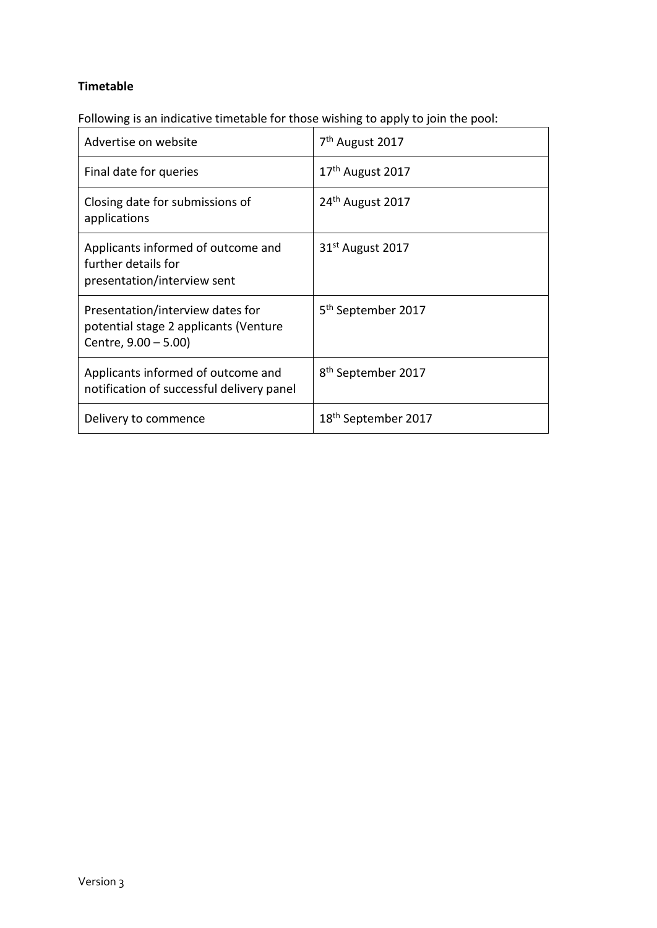#### **Timetable**

Following is an indicative timetable for those wishing to apply to join the pool:

| Advertise on website                                                                              | 7 <sup>th</sup> August 2017     |
|---------------------------------------------------------------------------------------------------|---------------------------------|
| Final date for queries                                                                            | 17 <sup>th</sup> August 2017    |
| Closing date for submissions of<br>applications                                                   | 24 <sup>th</sup> August 2017    |
| Applicants informed of outcome and<br>further details for<br>presentation/interview sent          | $31st$ August 2017              |
| Presentation/interview dates for<br>potential stage 2 applicants (Venture<br>Centre, 9.00 - 5.00) | 5 <sup>th</sup> September 2017  |
| Applicants informed of outcome and<br>notification of successful delivery panel                   | 8 <sup>th</sup> September 2017  |
| Delivery to commence                                                                              | 18 <sup>th</sup> September 2017 |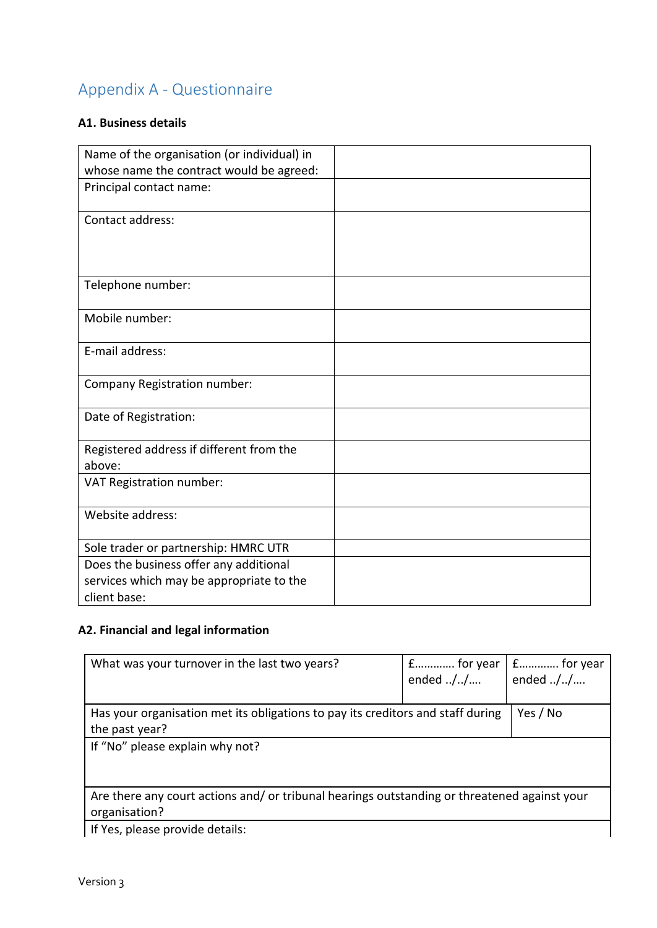# Appendix A - Questionnaire

# **A1. Business details**

| Name of the organisation (or individual) in        |  |
|----------------------------------------------------|--|
| whose name the contract would be agreed:           |  |
| Principal contact name:                            |  |
| Contact address:                                   |  |
|                                                    |  |
| Telephone number:                                  |  |
| Mobile number:                                     |  |
| E-mail address:                                    |  |
| Company Registration number:                       |  |
| Date of Registration:                              |  |
| Registered address if different from the<br>above: |  |
| VAT Registration number:                           |  |
| Website address:                                   |  |
| Sole trader or partnership: HMRC UTR               |  |
| Does the business offer any additional             |  |
| services which may be appropriate to the           |  |
| client base:                                       |  |

# **A2. Financial and legal information**

| What was your turnover in the last two years?                                                                | f for year<br>ended $././/$ | E for year<br>ended $././/$ |
|--------------------------------------------------------------------------------------------------------------|-----------------------------|-----------------------------|
| Has your organisation met its obligations to pay its creditors and staff during<br>the past year?            |                             | Yes / No                    |
| If "No" please explain why not?                                                                              |                             |                             |
| Are there any court actions and/or tribunal hearings outstanding or threatened against your<br>organisation? |                             |                             |
| If Yes, please provide details:                                                                              |                             |                             |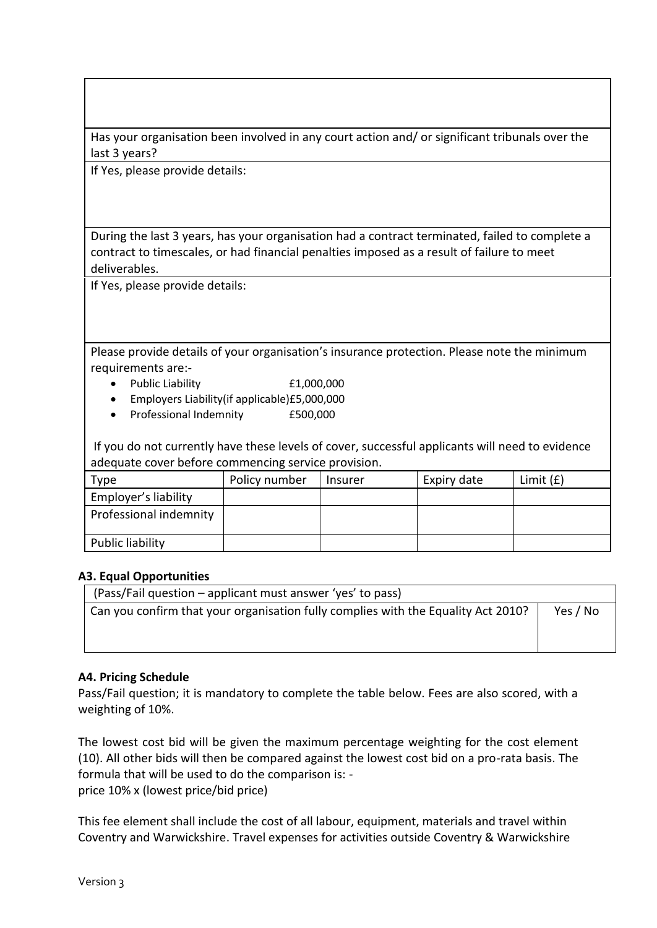Has your organisation been involved in any court action and/ or significant tribunals over the last 3 years?

If Yes, please provide details:

During the last 3 years, has your organisation had a contract terminated, failed to complete a contract to timescales, or had financial penalties imposed as a result of failure to meet deliverables.

If Yes, please provide details:

Please provide details of your organisation's insurance protection. Please note the minimum requirements are:-

- Public Liability £1,000,000
- Employers Liability(if applicable)£5,000,000
- Professional Indemnity £500,000

If you do not currently have these levels of cover, successful applicants will need to evidence adequate cover before commencing service provision.

| Type                   | Policy number | Insurer | Expiry date | Limit $(f)$ |
|------------------------|---------------|---------|-------------|-------------|
| Employer's liability   |               |         |             |             |
| Professional indemnity |               |         |             |             |
| Public liability       |               |         |             |             |

#### **A3. Equal Opportunities**

| (Pass/Fail question – applicant must answer 'yes' to pass)                        |          |
|-----------------------------------------------------------------------------------|----------|
| Can you confirm that your organisation fully complies with the Equality Act 2010? | Yes / No |
|                                                                                   |          |
|                                                                                   |          |

#### **A4. Pricing Schedule**

Pass/Fail question; it is mandatory to complete the table below. Fees are also scored, with a weighting of 10%.

The lowest cost bid will be given the maximum percentage weighting for the cost element (10). All other bids will then be compared against the lowest cost bid on a pro-rata basis. The formula that will be used to do the comparison is: price 10% x (lowest price/bid price)

This fee element shall include the cost of all labour, equipment, materials and travel within Coventry and Warwickshire. Travel expenses for activities outside Coventry & Warwickshire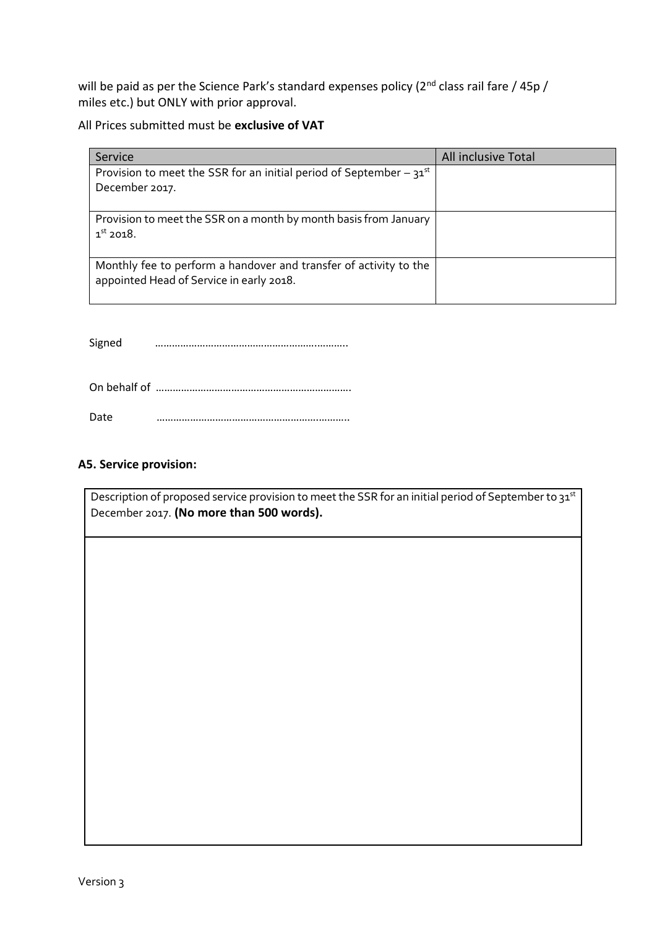will be paid as per the Science Park's standard expenses policy (2<sup>nd</sup> class rail fare / 45p / miles etc.) but ONLY with prior approval.

All Prices submitted must be **exclusive of VAT**

| Service                                                                  | All inclusive Total |
|--------------------------------------------------------------------------|---------------------|
| Provision to meet the SSR for an initial period of September – $31^{st}$ |                     |
| December 2017.                                                           |                     |
|                                                                          |                     |
| Provision to meet the SSR on a month by month basis from January         |                     |
| $1st$ 2018.                                                              |                     |
|                                                                          |                     |
| Monthly fee to perform a handover and transfer of activity to the        |                     |
| appointed Head of Service in early 2018.                                 |                     |
|                                                                          |                     |

Signed ………………………………………………….………..

| Date |  |
|------|--|

#### **A5. Service provision:**

Description of proposed service provision to meet the SSR for an initial period of September to 31st December 2017. **(No more than 500 words).**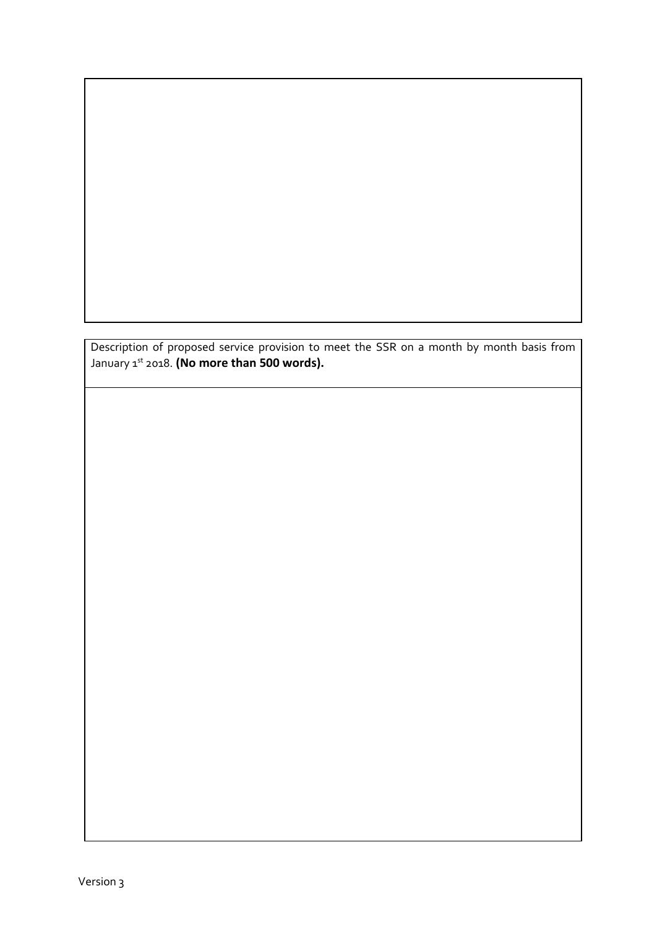Description of proposed service provision to meet the SSR on a month by month basis from January 1<sup>st</sup> 2018. **(No more than 500 words).**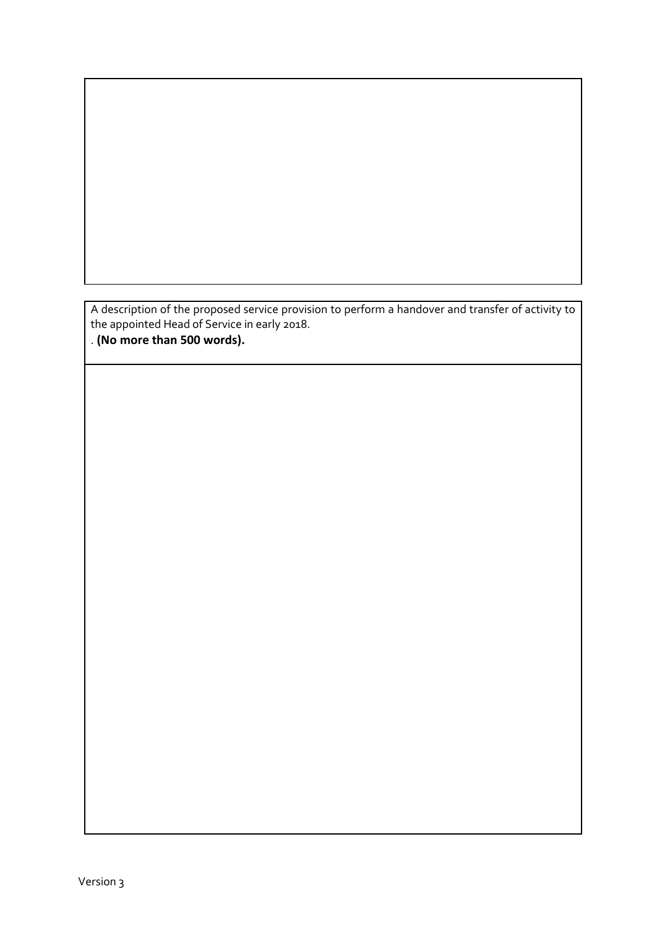A description of the proposed service provision to perform a handover and transfer of activity to the appointed Head of Service in early 2018.

. **(No more than 500 words).**